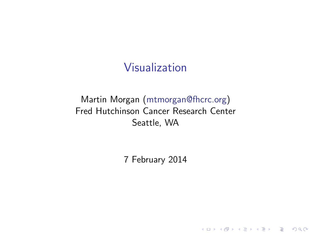## Visualization

### Martin Morgan [\(mtmorgan@fhcrc.org\)](mailto:mtmorgan@fhcrc.org) Fred Hutchinson Cancer Research Center Seattle, WA

7 February 2014

**Kロトメ部トメミトメミト ミニのRC**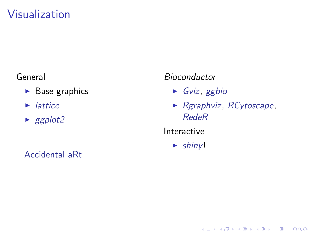# Visualization

#### General

- $\triangleright$  Base graphics
- $\blacktriangleright$  lattice
- $\blacktriangleright$  ggplot2

Accidental aRt

#### Bioconductor

- $\triangleright$  Gviz, ggbio
- Rgraphviz, RCytoscape, **RedeR**

K ロ ▶ K 個 ▶ K 할 ▶ K 할 ▶ 이 할 → 9 Q Q →

Interactive

 $\blacktriangleright$  shiny!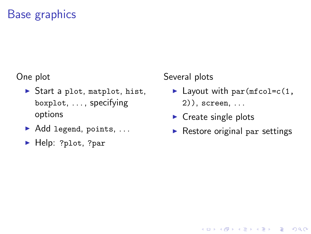#### One plot

- $\triangleright$  Start a plot, matplot, hist, boxplot, . . . , specifying options
- $\blacktriangleright$  Add legend, points, ...
- ▶ Help: ?plot, ?par

### Several plots

- $\blacktriangleright$  Layout with par(mfcol=c(1,  $2)$ , screen, ...
- $\blacktriangleright$  Create single plots
- $\triangleright$  Restore original par settings

**KORK ERKER ADAM ADA**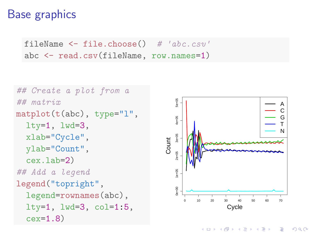```
fileName \leq - file.choose() # 'abc.csv'
abc <- read.csv(fileName, row.names=1)
```

```
## Create a plot from a
## matrix
matplot(t(abc), type="1",
  lty=1, lwd=3,
  xlab="Cycle",
  ylab="Count",
  cex.lab=2)
## Add a legend
legend("topright",
  legend=rownames(abc),
  lty=1, lwd=3, col=1:5,
  cex=1.8)
```


◆ ロ → → 伊 → → ヨ → → ヨ → ニヨー

 $2990$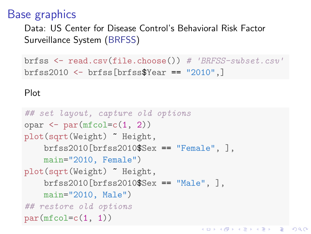Data: US Center for Disease Control's Behavioral Risk Factor Surveillance System [\(BRFSS\)](http://www.cdc.gov/brfss/)

brfss  $\leq$  read.csv(file.choose()) # 'BRFSS-subset.csv' brfss2010 <- brfss[brfss\$Year == "2010",]

K ロ ▶ K 個 ▶ K 할 ▶ K 할 ▶ 이 할 → 이익 @

#### Plot

```
## set layout, capture old options
opar \leq par(mfcol=c(1, 2))
plot(sqrt(Weight) ~ Height,
    brfss2010[brfss2010$Sex == "Female", ],
    main="2010, Female")
plot(sqrt(Weight) ~ Height,
    brfss2010[brfss2010$Sex == "Male", ],
    main="2010, Male")
## restore old options
par(mfcol=c(1, 1))
```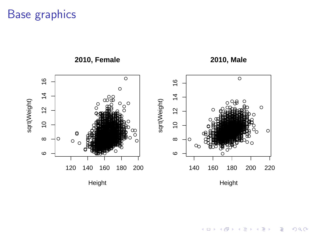

#### $290$ **K ロ ▶ K 伊 ▶**  $\sim$ B Þ Þ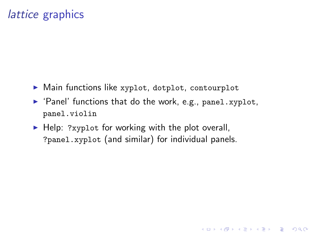## [lattice](http://cran.fhcrc.org/web/packages/lattice/index.html) graphics

- $\triangleright$  Main functions like xyplot, dotplot, contourplot
- $\blacktriangleright$  'Panel' functions that do the work, e.g., panel.xyplot, panel.violin

 $\blacktriangleright$  Help: ?xyplot for working with the plot overall. ?panel.xyplot (and similar) for individual panels.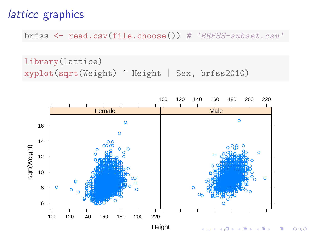## lattice graphics

brfss  $\leq$  read.csv(file.choose()) # 'BRFSS-subset.csv'

library (lattice) xyplot(sqrt(Weight) "Height | Sex, brfss2010)

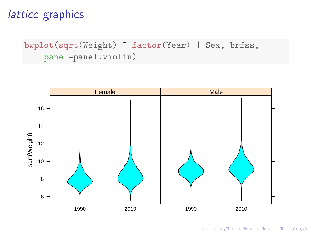## [lattice](http://cran.fhcrc.org/web/packages/lattice/index.html) graphics

bwplot(sqrt(Weight) ~ factor(Year) | Sex, brfss, panel=panel.violin)



K ロ ▶ K 個 ▶ K 할 ▶ K 할 ▶ 이 할 → 9 Q Q →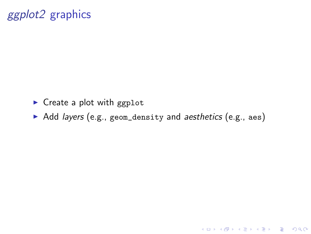# [ggplot2](http://cran.fhcrc.org/web/packages/ggplot2/index.html) graphics

- $\triangleright$  Create a plot with ggplot
- Add layers (e.g., geom\_density and aesthetics (e.g., aes)

K ロ ▶ K 레 ▶ K 코 ▶ K 코 ▶ 『코 │ ◆ 9 Q Q ↓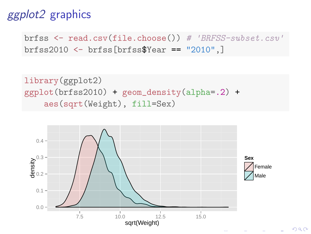# [ggplot2](http://cran.fhcrc.org/web/packages/ggplot2/index.html) graphics

brfss  $\leq$  read.csv(file.choose()) # 'BRFSS-subset.csv' brfss2010 <- brfss[brfss\$Year == "2010",]

```
library(ggplot2)
ggplot(brfss2010) + geom_density(alpha=.2) +
    aes(sqrt(Weight), fill=Sex)
```


 $2990$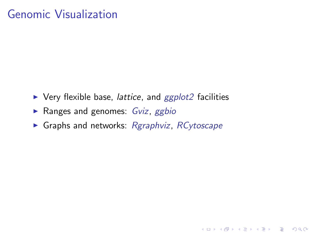## Genomic Visualization

- $\triangleright$  Very flexible base, *lattice*, and *[ggplot2](http://cran.fhcrc.org/web/packages/ggplot2/index.html)* facilities
- Ranges and genomes:  $Gviz$ ,  $ggbio$
- $\triangleright$  Graphs and networks: [Rgraphviz](http://bioconductor.org/packages/release/bioc/html/Rgraphviz.html), [RCytoscape](http://bioconductor.org/packages/release/bioc/html/RCytoscape.html)